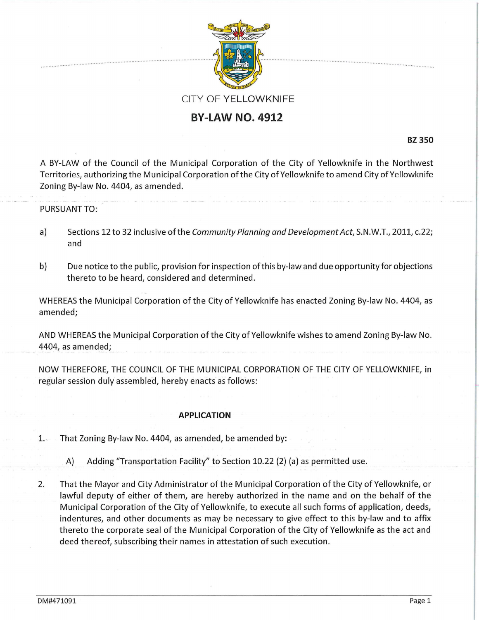

## **BY-LAW NO. 4912**

**BZ350** 

A BY-LAW of the Council of the Municipal Corporation of the City of Yellowknife in the Northwest Territories, authorizing the Municipal Corporation ofthe City of Yellowknife to amend City of Yellowknife Zoning By-law No. 4404, as amended.

## PURSUANT TO:

- a) Sections 12 to 32 inclusive of the Community Planning and Development Act, S.N.W.T., 2011, c.22; and
- b) Due notice to the public, provision for inspection of this by-law and due opportunity for objections thereto to be heard, considered and determined.

WHEREAS the Municipal Corporation of the City of Yellowknife has enacted Zoning By-law No. 4404, as amended;

AND WHEREAS the Municipal Corporation ofthe City of Yellowknife wishes to amend Zoning By-law No. 4404, as amended;

NOW THEREFORE, THE COUNCIL OF THE MUNICIPAL CORPORATION OF THE CITY OF YELLOWKNIFE, in regular session duly assembled, hereby enacts as follows:

## **APPLICATION**

- 1. That Zoning By-law No. 4404, as amended, be amended by:
	- A) Adding "Transportation Facility" to Section 10.22 (2) (a) as permitted use.
- 2. That the Mayor and City Administrator of the Municipal Corporation of the City of Yellowknife, or lawful deputy of either of them, are hereby authorized in the name and on the behalf of the Municipal Corporation of the City of Yellowknife, to execute all such forms of application, deeds, indentures, and other documents as may be necessary to give effect to this by-law and to affix thereto the corporate seal of the Municipal Corporation of the City of Yellowknife as the act and deed thereof, subscribing their names in attestation of such execution.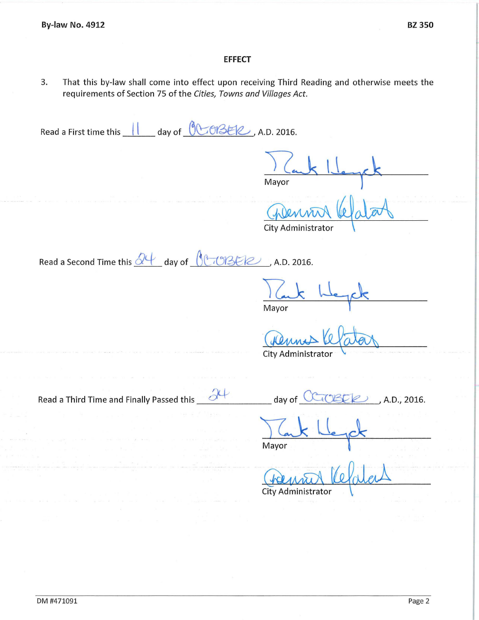## **EFFECT**

3. That this by-law shall come into effect upon receiving Third Reading and otherwise meets the requirements of Section 75 of the *Cities, Towns and Villages Act.* 

Read a First time this **1 day of 000800**, A.D. 2016. **Mayor**  $~\mu$  ata City Administrator Read a Second Time this  $\frac{\partial \psi}{\partial x}$  day of  $\frac{\partial (\psi \cup \beta)}{\partial x}$ , A.D. 2016. **Mayor** City Administrato Read a Third Time and Finally Passed this **at the set of the CLICER**, A.D., 2016. Mayor City Administrator